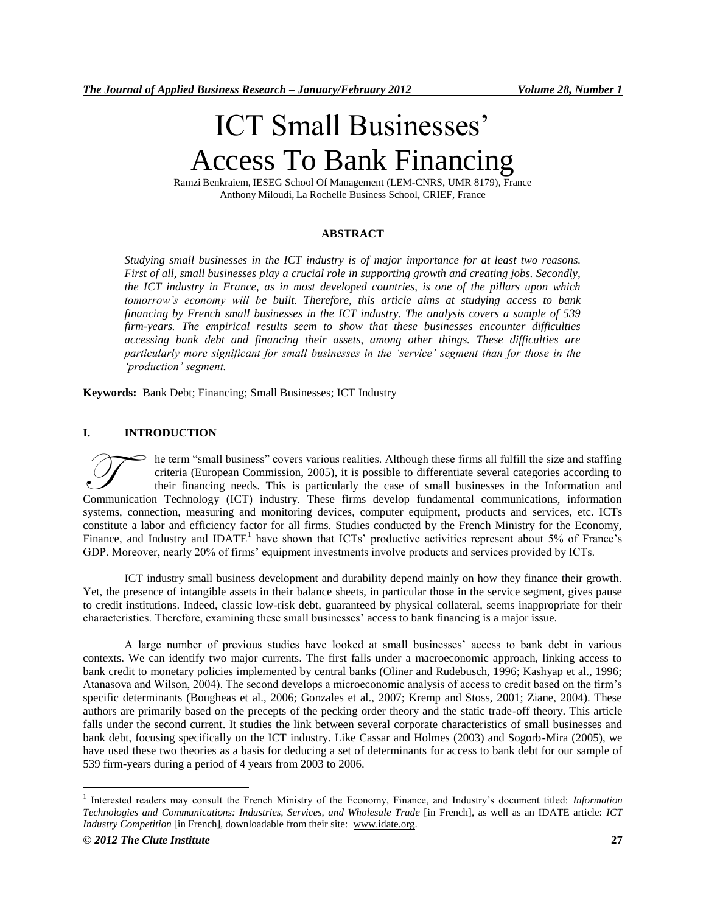# ICT Small Businesses' Access To Bank Financing

Ramzi Benkraiem, IESEG School Of Management (LEM-CNRS, UMR 8179), France Anthony Miloudi, La Rochelle Business School, CRIEF, France

# **ABSTRACT**

*Studying small businesses in the ICT industry is of major importance for at least two reasons. First of all, small businesses play a crucial role in supporting growth and creating jobs. Secondly, the ICT industry in France, as in most developed countries, is one of the pillars upon which tomorrow's economy will be built. Therefore, this article aims at studying access to bank financing by French small businesses in the ICT industry. The analysis covers a sample of 539 firm-years. The empirical results seem to show that these businesses encounter difficulties accessing bank debt and financing their assets, among other things. These difficulties are particularly more significant for small businesses in the 'service' segment than for those in the 'production' segment.*

**Keywords:** Bank Debt; Financing; Small Businesses; ICT Industry

# **I. INTRODUCTION**

he term "small business" covers various realities. Although these firms all fulfill the size and staffing criteria (European Commission, 2005), it is possible to differentiate several categories according to their financing needs. This is particularly the case of small businesses in the Information and The term "small business" covers various realities. Although these firms all fulfill the size and staffing criteria (European Commission, 2005), it is possible to differentiate several categories according to their financi systems, connection, measuring and monitoring devices, computer equipment, products and services, etc. ICTs constitute a labor and efficiency factor for all firms. Studies conducted by the French Ministry for the Economy, Finance, and Industry and IDATE<sup>1</sup> have shown that ICTs' productive activities represent about 5% of France's GDP. Moreover, nearly 20% of firms' equipment investments involve products and services provided by ICTs.

ICT industry small business development and durability depend mainly on how they finance their growth. Yet, the presence of intangible assets in their balance sheets, in particular those in the service segment, gives pause to credit institutions. Indeed, classic low-risk debt, guaranteed by physical collateral, seems inappropriate for their characteristics. Therefore, examining these small businesses" access to bank financing is a major issue.

A large number of previous studies have looked at small businesses" access to bank debt in various contexts. We can identify two major currents. The first falls under a macroeconomic approach, linking access to bank credit to monetary policies implemented by central banks (Oliner and Rudebusch, 1996; Kashyap et al., 1996; Atanasova and Wilson, 2004). The second develops a microeconomic analysis of access to credit based on the firm"s specific determinants (Bougheas et al., 2006; Gonzales et al., 2007; Kremp and Stoss, 2001; Ziane, 2004). These authors are primarily based on the precepts of the pecking order theory and the static trade-off theory. This article falls under the second current. It studies the link between several corporate characteristics of small businesses and bank debt, focusing specifically on the ICT industry. Like Cassar and Holmes (2003) and Sogorb-Mira (2005), we have used these two theories as a basis for deducing a set of determinants for access to bank debt for our sample of 539 firm-years during a period of 4 years from 2003 to 2006.

 $\overline{a}$ 

<sup>1</sup> Interested readers may consult the French Ministry of the Economy, Finance, and Industry"s document titled: *Information Technologies and Communications: Industries, Services, and Wholesale Trade* [in French], as well as an IDATE article: *ICT Industry Competition* [in French], downloadable from their site: [www.idate.org.](http://www.idate.org/)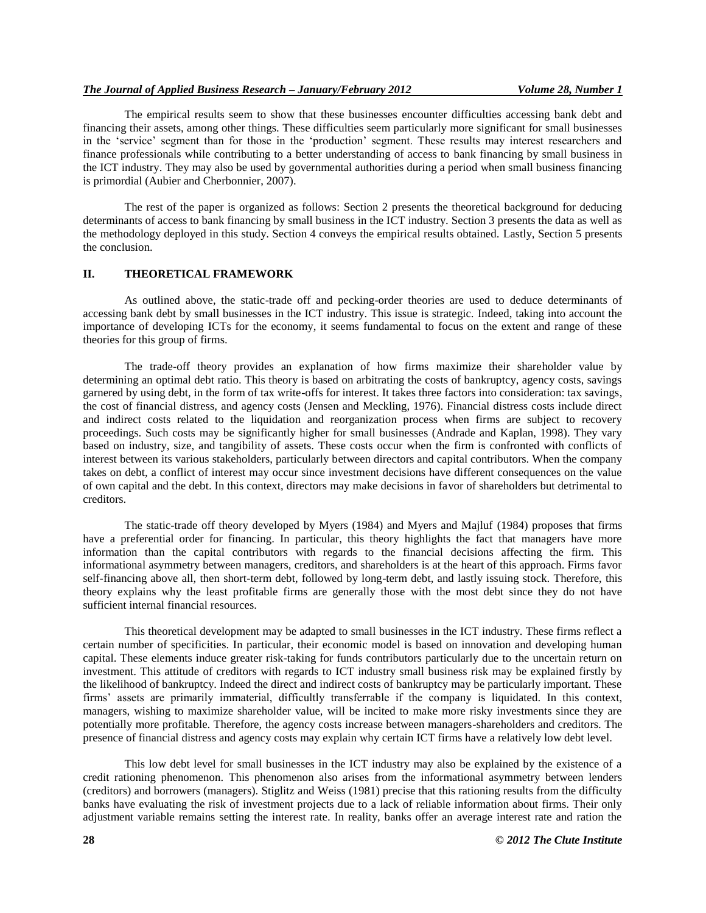## *The Journal of Applied Business Research – January/February 2012 Volume 28, Number 1*

The empirical results seem to show that these businesses encounter difficulties accessing bank debt and financing their assets, among other things. These difficulties seem particularly more significant for small businesses in the 'service' segment than for those in the 'production' segment. These results may interest researchers and finance professionals while contributing to a better understanding of access to bank financing by small business in the ICT industry. They may also be used by governmental authorities during a period when small business financing is primordial (Aubier and Cherbonnier, 2007).

The rest of the paper is organized as follows: Section 2 presents the theoretical background for deducing determinants of access to bank financing by small business in the ICT industry. Section 3 presents the data as well as the methodology deployed in this study. Section 4 conveys the empirical results obtained. Lastly, Section 5 presents the conclusion.

# **II. THEORETICAL FRAMEWORK**

As outlined above, the static-trade off and pecking-order theories are used to deduce determinants of accessing bank debt by small businesses in the ICT industry. This issue is strategic. Indeed, taking into account the importance of developing ICTs for the economy, it seems fundamental to focus on the extent and range of these theories for this group of firms.

The trade-off theory provides an explanation of how firms maximize their shareholder value by determining an optimal debt ratio. This theory is based on arbitrating the costs of bankruptcy, agency costs, savings garnered by using debt, in the form of tax write-offs for interest. It takes three factors into consideration: tax savings, the cost of financial distress, and agency costs (Jensen and Meckling, 1976). Financial distress costs include direct and indirect costs related to the liquidation and reorganization process when firms are subject to recovery proceedings. Such costs may be significantly higher for small businesses (Andrade and Kaplan, 1998). They vary based on industry, size, and tangibility of assets. These costs occur when the firm is confronted with conflicts of interest between its various stakeholders, particularly between directors and capital contributors. When the company takes on debt, a conflict of interest may occur since investment decisions have different consequences on the value of own capital and the debt. In this context, directors may make decisions in favor of shareholders but detrimental to creditors.

The static-trade off theory developed by Myers (1984) and Myers and Majluf (1984) proposes that firms have a preferential order for financing. In particular, this theory highlights the fact that managers have more information than the capital contributors with regards to the financial decisions affecting the firm. This informational asymmetry between managers, creditors, and shareholders is at the heart of this approach. Firms favor self-financing above all, then short-term debt, followed by long-term debt, and lastly issuing stock. Therefore, this theory explains why the least profitable firms are generally those with the most debt since they do not have sufficient internal financial resources.

This theoretical development may be adapted to small businesses in the ICT industry. These firms reflect a certain number of specificities. In particular, their economic model is based on innovation and developing human capital. These elements induce greater risk-taking for funds contributors particularly due to the uncertain return on investment. This attitude of creditors with regards to ICT industry small business risk may be explained firstly by the likelihood of bankruptcy. Indeed the direct and indirect costs of bankruptcy may be particularly important. These firms' assets are primarily immaterial, difficultly transferrable if the company is liquidated. In this context, managers, wishing to maximize shareholder value, will be incited to make more risky investments since they are potentially more profitable. Therefore, the agency costs increase between managers-shareholders and creditors. The presence of financial distress and agency costs may explain why certain ICT firms have a relatively low debt level.

This low debt level for small businesses in the ICT industry may also be explained by the existence of a credit rationing phenomenon. This phenomenon also arises from the informational asymmetry between lenders (creditors) and borrowers (managers). Stiglitz and Weiss (1981) precise that this rationing results from the difficulty banks have evaluating the risk of investment projects due to a lack of reliable information about firms. Their only adjustment variable remains setting the interest rate. In reality, banks offer an average interest rate and ration the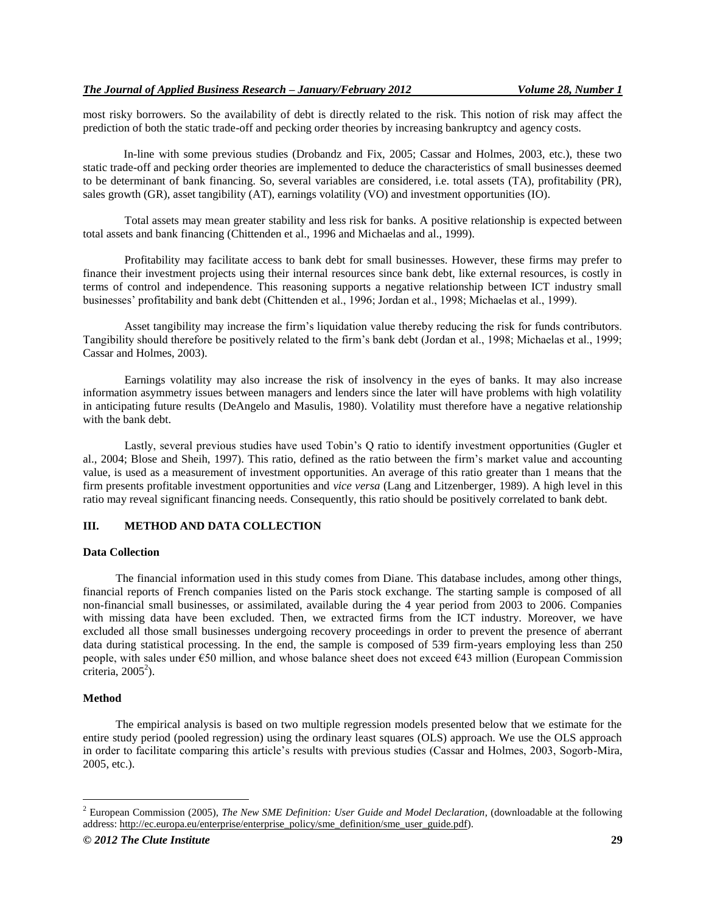most risky borrowers. So the availability of debt is directly related to the risk. This notion of risk may affect the prediction of both the static trade-off and pecking order theories by increasing bankruptcy and agency costs.

In-line with some previous studies (Drobandz and Fix, 2005; Cassar and Holmes, 2003, etc.), these two static trade-off and pecking order theories are implemented to deduce the characteristics of small businesses deemed to be determinant of bank financing. So, several variables are considered, i.e. total assets (TA), profitability (PR), sales growth (GR), asset tangibility (AT), earnings volatility (VO) and investment opportunities (IO).

Total assets may mean greater stability and less risk for banks. A positive relationship is expected between total assets and bank financing (Chittenden et al., 1996 and Michaelas and al., 1999).

Profitability may facilitate access to bank debt for small businesses. However, these firms may prefer to finance their investment projects using their internal resources since bank debt, like external resources, is costly in terms of control and independence. This reasoning supports a negative relationship between ICT industry small businesses" profitability and bank debt (Chittenden et al., 1996; Jordan et al., 1998; Michaelas et al., 1999).

Asset tangibility may increase the firm"s liquidation value thereby reducing the risk for funds contributors. Tangibility should therefore be positively related to the firm"s bank debt (Jordan et al., 1998; Michaelas et al., 1999; Cassar and Holmes, 2003).

Earnings volatility may also increase the risk of insolvency in the eyes of banks. It may also increase information asymmetry issues between managers and lenders since the later will have problems with high volatility in anticipating future results (DeAngelo and Masulis, 1980). Volatility must therefore have a negative relationship with the bank debt.

Lastly, several previous studies have used Tobin"s Q ratio to identify investment opportunities (Gugler et al., 2004; Blose and Sheih, 1997). This ratio, defined as the ratio between the firm"s market value and accounting value, is used as a measurement of investment opportunities. An average of this ratio greater than 1 means that the firm presents profitable investment opportunities and *vice versa* (Lang and Litzenberger, 1989). A high level in this ratio may reveal significant financing needs. Consequently, this ratio should be positively correlated to bank debt.

# **III. METHOD AND DATA COLLECTION**

# **Data Collection**

The financial information used in this study comes from Diane. This database includes, among other things, financial reports of French companies listed on the Paris stock exchange. The starting sample is composed of all non-financial small businesses, or assimilated, available during the 4 year period from 2003 to 2006. Companies with missing data have been excluded. Then, we extracted firms from the ICT industry. Moreover, we have excluded all those small businesses undergoing recovery proceedings in order to prevent the presence of aberrant data during statistical processing. In the end, the sample is composed of 539 firm-years employing less than 250 people, with sales under €50 million, and whose balance sheet does not exceed €43 million (European Commission  $\frac{1}{2}$ criteria, 2005<sup>2</sup>).

#### **Method**

 $\overline{a}$ 

The empirical analysis is based on two multiple regression models presented below that we estimate for the entire study period (pooled regression) using the ordinary least squares (OLS) approach. We use the OLS approach in order to facilitate comparing this article"s results with previous studies (Cassar and Holmes, 2003, Sogorb-Mira, 2005, etc.).

<sup>2</sup> European Commission (2005), *The New SME Definition: User Guide and Model Declaration*, (downloadable at the following address[: http://ec.europa.eu/enterprise/enterprise\\_policy/sme\\_definition/sme\\_user\\_guide.pdf\)](http://ec.europa.eu/enterprise/enterprise_policy/sme_definition/sme_user_guide.pdf).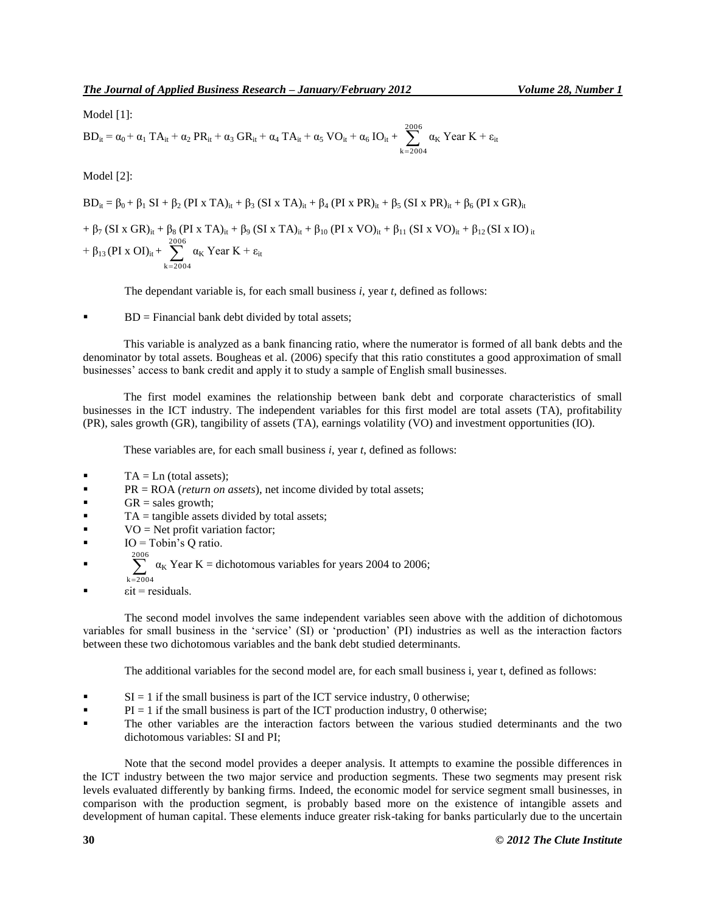Model [1]:

$$
BD_{it} = \alpha_0 + \alpha_1 TA_{it} + \alpha_2 PR_{it} + \alpha_3 GR_{it} + \alpha_4 TA_{it} + \alpha_5 VO_{it} + \alpha_6 IO_{it} + \sum_{k=2004}^{2006} \alpha_k Year K + \epsilon_{it}
$$

Model [2]:

 $BD_{it} = \beta_0 + \beta_1 SI + \beta_2 (PI \times TA)_{it} + \beta_3 (SI \times TA)_{it} + \beta_4 (PI \times PR)_{it} + \beta_5 (SI \times PR)_{it} + \beta_6 (PI \times GR)_{it}$  $+ \ \beta _7\left( \text{SI} \ge \text{GR} \right)_{it} + \beta _8\left( \text{PI} \ge \text{TA} \right)_{it} + \beta _9\left( \text{SI} \ge \text{TA} \right)_{it} + \beta _{10}\left( \text{PI} \ge \text{VO} \right)_{it} + \beta _{11}\left( \text{SI} \ge \text{VO} \right)_{it} + \beta _{12}\left( \text{SI} \ge \text{IO} \right)_{it}$ +  $\beta_{13}$  (PI x OI)<sub>it</sub> +  $\sum_{k=200}^{2006}$  $k = 2004$  $\alpha_{K}$  Year K +  $\varepsilon_{it}$ 

The dependant variable is, for each small business *i*, year *t*, defined as follows:

 $BD = Financial bank debt divided by total assets;$ 

This variable is analyzed as a bank financing ratio, where the numerator is formed of all bank debts and the denominator by total assets. Bougheas et al. (2006) specify that this ratio constitutes a good approximation of small businesses" access to bank credit and apply it to study a sample of English small businesses.

The first model examines the relationship between bank debt and corporate characteristics of small businesses in the ICT industry. The independent variables for this first model are total assets (TA), profitability (PR), sales growth (GR), tangibility of assets (TA), earnings volatility (VO) and investment opportunities (IO).

These variables are, for each small business *i*, year *t*, defined as follows:

- $TA = Ln (total assets);$
- **PR** = ROA (*return on assets*), net income divided by total assets;
- $GR = sales$  growth;
- $TA = \text{tangle assets}$  divided by total assets;
- $VO = Net$  profit variation factor;
- IO = Tobin"s Q ratio.
- $\sum_{k=200}^{2006}$  $\alpha_K$  Year K = dichotomous variables for years 2004 to 2006;
- $k = 2004$
- $\epsilon$ it = residuals.

The second model involves the same independent variables seen above with the addition of dichotomous variables for small business in the "service" (SI) or "production" (PI) industries as well as the interaction factors between these two dichotomous variables and the bank debt studied determinants.

The additional variables for the second model are, for each small business i, year t, defined as follows:

- $SI = 1$  if the small business is part of the ICT service industry, 0 otherwise;
- $PI = 1$  if the small business is part of the ICT production industry, 0 otherwise;
- The other variables are the interaction factors between the various studied determinants and the two dichotomous variables: SI and PI;

Note that the second model provides a deeper analysis. It attempts to examine the possible differences in the ICT industry between the two major service and production segments. These two segments may present risk levels evaluated differently by banking firms. Indeed, the economic model for service segment small businesses, in comparison with the production segment, is probably based more on the existence of intangible assets and development of human capital. These elements induce greater risk-taking for banks particularly due to the uncertain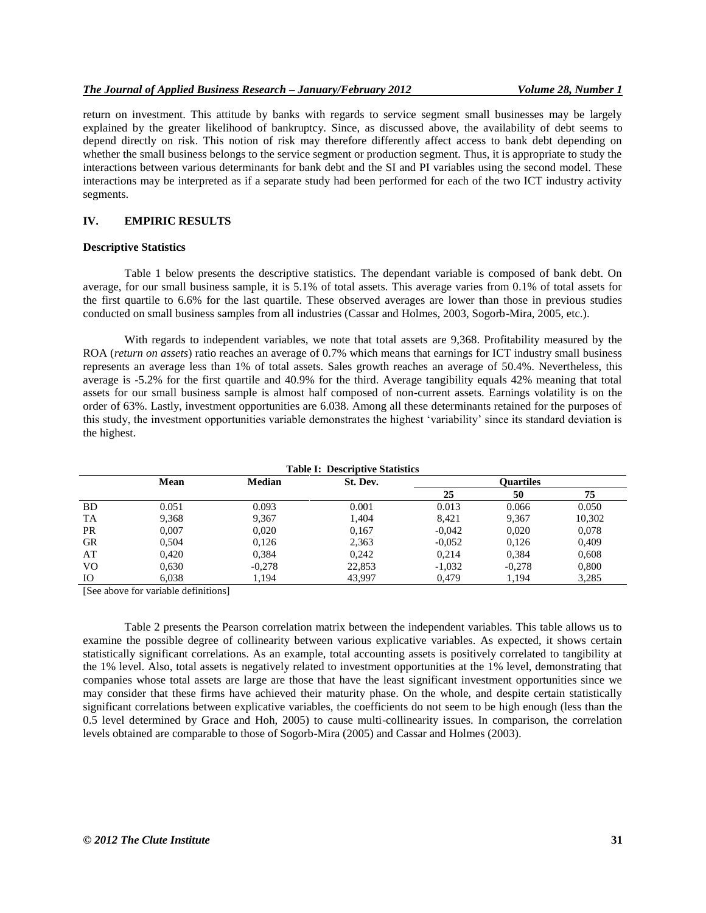## *The Journal of Applied Business Research – January/February 2012 Volume 28, Number 1*

return on investment. This attitude by banks with regards to service segment small businesses may be largely explained by the greater likelihood of bankruptcy. Since, as discussed above, the availability of debt seems to depend directly on risk. This notion of risk may therefore differently affect access to bank debt depending on whether the small business belongs to the service segment or production segment. Thus, it is appropriate to study the interactions between various determinants for bank debt and the SI and PI variables using the second model. These interactions may be interpreted as if a separate study had been performed for each of the two ICT industry activity segments.

#### **IV. EMPIRIC RESULTS**

## **Descriptive Statistics**

Table 1 below presents the descriptive statistics. The dependant variable is composed of bank debt. On average, for our small business sample, it is 5.1% of total assets. This average varies from 0.1% of total assets for the first quartile to 6.6% for the last quartile. These observed averages are lower than those in previous studies conducted on small business samples from all industries (Cassar and Holmes, 2003, Sogorb-Mira, 2005, etc.).

With regards to independent variables, we note that total assets are 9,368. Profitability measured by the ROA (*return on assets*) ratio reaches an average of 0.7% which means that earnings for ICT industry small business represents an average less than 1% of total assets. Sales growth reaches an average of 50.4%. Nevertheless, this average is -5.2% for the first quartile and 40.9% for the third. Average tangibility equals 42% meaning that total assets for our small business sample is almost half composed of non-current assets. Earnings volatility is on the order of 63%. Lastly, investment opportunities are 6.038. Among all these determinants retained for the purposes of this study, the investment opportunities variable demonstrates the highest "variability" since its standard deviation is the highest.

| <b>Table I: Descriptive Statistics</b> |       |          |          |          |                  |        |  |  |
|----------------------------------------|-------|----------|----------|----------|------------------|--------|--|--|
|                                        | Mean  | Median   | St. Dev. |          | <b>Ouartiles</b> |        |  |  |
|                                        |       |          |          | 25       | 50               | 75     |  |  |
| <b>BD</b>                              | 0.051 | 0.093    | 0.001    | 0.013    | 0.066            | 0.050  |  |  |
| <b>TA</b>                              | 9,368 | 9,367    | 1.404    | 8.421    | 9.367            | 10,302 |  |  |
| <b>PR</b>                              | 0.007 | 0,020    | 0,167    | $-0,042$ | 0,020            | 0,078  |  |  |
| GR                                     | 0.504 | 0,126    | 2,363    | $-0.052$ | 0.126            | 0,409  |  |  |
| AT                                     | 0.420 | 0,384    | 0.242    | 0.214    | 0.384            | 0,608  |  |  |
| V <sub>O</sub>                         | 0.630 | $-0,278$ | 22,853   | $-1,032$ | $-0.278$         | 0.800  |  |  |
| <b>IO</b>                              | 6,038 | 1.194    | 43,997   | 0,479    | 1,194            | 3,285  |  |  |

[See above for variable definitions]

Table 2 presents the Pearson correlation matrix between the independent variables. This table allows us to examine the possible degree of collinearity between various explicative variables. As expected, it shows certain statistically significant correlations. As an example, total accounting assets is positively correlated to tangibility at the 1% level. Also, total assets is negatively related to investment opportunities at the 1% level, demonstrating that companies whose total assets are large are those that have the least significant investment opportunities since we may consider that these firms have achieved their maturity phase. On the whole, and despite certain statistically significant correlations between explicative variables, the coefficients do not seem to be high enough (less than the 0.5 level determined by Grace and Hoh, 2005) to cause multi-collinearity issues. In comparison, the correlation levels obtained are comparable to those of Sogorb-Mira (2005) and Cassar and Holmes (2003).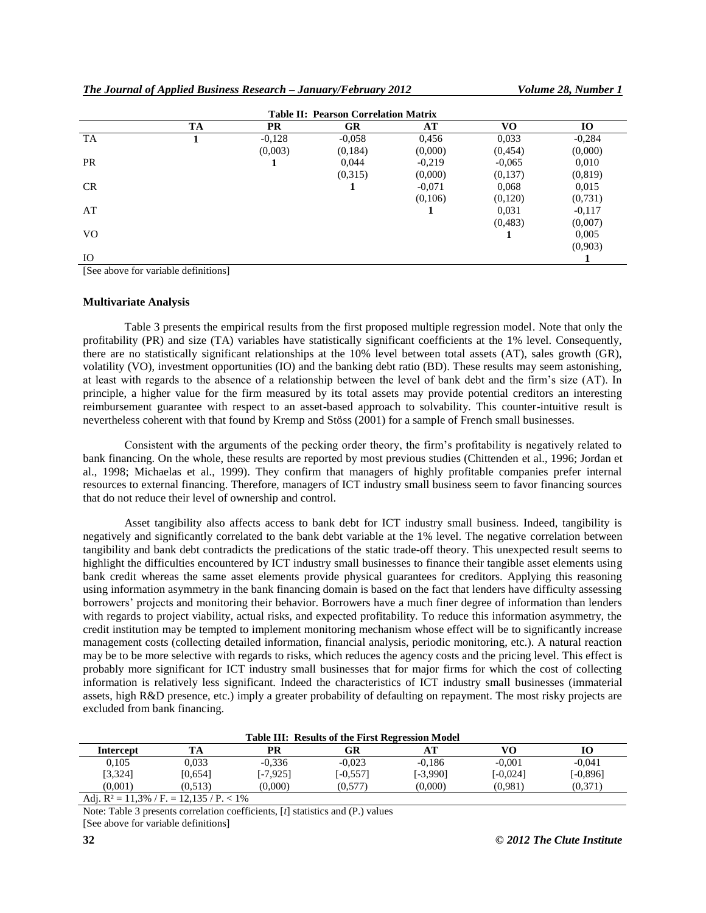*The Journal of Applied Business Research – January/February 2012 Volume 28, Number 1*

| <b>Table II: Pearson Correlation Matrix</b> |           |           |           |          |          |           |  |
|---------------------------------------------|-----------|-----------|-----------|----------|----------|-----------|--|
|                                             | <b>TA</b> | <b>PR</b> | <b>GR</b> | AT       | VO       | <b>IO</b> |  |
| <b>TA</b>                                   |           | $-0,128$  | $-0.058$  | 0,456    | 0,033    | $-0,284$  |  |
|                                             |           | (0,003)   | (0, 184)  | (0,000)  | (0, 454) | (0,000)   |  |
| <b>PR</b>                                   |           | 1         | 0,044     | $-0,219$ | $-0.065$ | 0,010     |  |
|                                             |           |           | (0,315)   | (0,000)  | (0,137)  | (0, 819)  |  |
| <b>CR</b>                                   |           |           |           | $-0.071$ | 0,068    | 0,015     |  |
|                                             |           |           |           | (0,106)  | (0,120)  | (0,731)   |  |
| AT                                          |           |           |           |          | 0.031    | $-0,117$  |  |
|                                             |           |           |           |          | (0, 483) | (0,007)   |  |
| V <sub>O</sub>                              |           |           |           |          |          | 0,005     |  |
|                                             |           |           |           |          |          | (0,903)   |  |
| IO                                          |           |           |           |          |          |           |  |

[See above for variable definitions]

#### **Multivariate Analysis**

Table 3 presents the empirical results from the first proposed multiple regression model. Note that only the profitability (PR) and size (TA) variables have statistically significant coefficients at the 1% level. Consequently, there are no statistically significant relationships at the 10% level between total assets (AT), sales growth (GR), volatility (VO), investment opportunities (IO) and the banking debt ratio (BD). These results may seem astonishing, at least with regards to the absence of a relationship between the level of bank debt and the firm"s size (AT). In principle, a higher value for the firm measured by its total assets may provide potential creditors an interesting reimbursement guarantee with respect to an asset-based approach to solvability. This counter-intuitive result is nevertheless coherent with that found by Kremp and Stöss (2001) for a sample of French small businesses.

Consistent with the arguments of the pecking order theory, the firm"s profitability is negatively related to bank financing. On the whole, these results are reported by most previous studies (Chittenden et al., 1996; Jordan et al., 1998; Michaelas et al., 1999). They confirm that managers of highly profitable companies prefer internal resources to external financing. Therefore, managers of ICT industry small business seem to favor financing sources that do not reduce their level of ownership and control.

Asset tangibility also affects access to bank debt for ICT industry small business. Indeed, tangibility is negatively and significantly correlated to the bank debt variable at the 1% level. The negative correlation between tangibility and bank debt contradicts the predications of the static trade-off theory. This unexpected result seems to highlight the difficulties encountered by ICT industry small businesses to finance their tangible asset elements using bank credit whereas the same asset elements provide physical guarantees for creditors. Applying this reasoning using information asymmetry in the bank financing domain is based on the fact that lenders have difficulty assessing borrowers" projects and monitoring their behavior. Borrowers have a much finer degree of information than lenders with regards to project viability, actual risks, and expected profitability. To reduce this information asymmetry, the credit institution may be tempted to implement monitoring mechanism whose effect will be to significantly increase management costs (collecting detailed information, financial analysis, periodic monitoring, etc.). A natural reaction may be to be more selective with regards to risks, which reduces the agency costs and the pricing level. This effect is probably more significant for ICT industry small businesses that for major firms for which the cost of collecting information is relatively less significant. Indeed the characteristics of ICT industry small businesses (immaterial assets, high R&D presence, etc.) imply a greater probability of defaulting on repayment. The most risky projects are excluded from bank financing.

| <b>Table III: Results of the First Regression Model</b> |                  |             |          |          |           |            |  |
|---------------------------------------------------------|------------------|-------------|----------|----------|-----------|------------|--|
| Intercept                                               | TA               | PR          | GR       |          | VО        | 10         |  |
| 0.105                                                   | 0.033            | $-0.336$    | $-0.023$ | $-0.186$ | $-0.001$  | $-0.041$   |  |
| [3,324]                                                 | [0.654]          | $[-7, 925]$ | [-0.557] | [-3.990] | $-0.0241$ | $[-0.896]$ |  |
| (0.001)                                                 | (0.513)          | (0.000)     | (0.577)  | (0.000)  | (0.981)   | (0.371)    |  |
| $\frac{1}{2}$ 1. D <sub>1</sub> 1. 1. D <sub>0</sub>    | $10.107/D - 101$ |             |          |          |           |            |  |

Adj.  $R^2 = 11,3\% / F = 12,135 / P < 1\%$ 

Note: Table 3 presents correlation coefficients, [*t*] statistics and (P.) values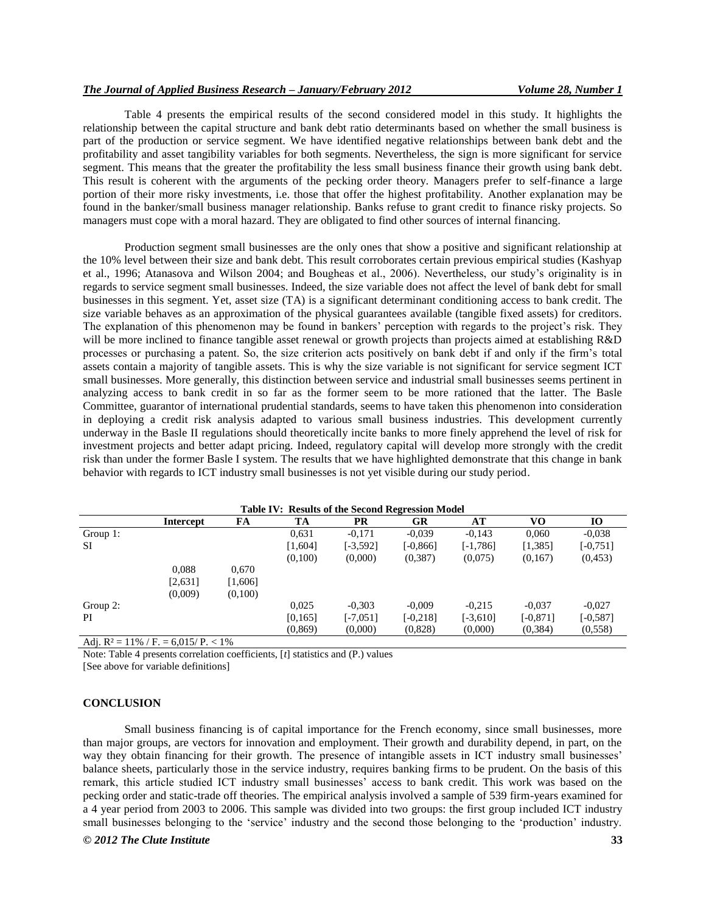Table 4 presents the empirical results of the second considered model in this study. It highlights the relationship between the capital structure and bank debt ratio determinants based on whether the small business is part of the production or service segment. We have identified negative relationships between bank debt and the profitability and asset tangibility variables for both segments. Nevertheless, the sign is more significant for service segment. This means that the greater the profitability the less small business finance their growth using bank debt. This result is coherent with the arguments of the pecking order theory. Managers prefer to self-finance a large portion of their more risky investments, i.e. those that offer the highest profitability. Another explanation may be found in the banker/small business manager relationship. Banks refuse to grant credit to finance risky projects. So managers must cope with a moral hazard. They are obligated to find other sources of internal financing.

Production segment small businesses are the only ones that show a positive and significant relationship at the 10% level between their size and bank debt. This result corroborates certain previous empirical studies (Kashyap et al., 1996; Atanasova and Wilson 2004; and Bougheas et al., 2006). Nevertheless, our study"s originality is in regards to service segment small businesses. Indeed, the size variable does not affect the level of bank debt for small businesses in this segment. Yet, asset size (TA) is a significant determinant conditioning access to bank credit. The size variable behaves as an approximation of the physical guarantees available (tangible fixed assets) for creditors. The explanation of this phenomenon may be found in bankers' perception with regards to the project's risk. They will be more inclined to finance tangible asset renewal or growth projects than projects aimed at establishing R&D processes or purchasing a patent. So, the size criterion acts positively on bank debt if and only if the firm"s total assets contain a majority of tangible assets. This is why the size variable is not significant for service segment ICT small businesses. More generally, this distinction between service and industrial small businesses seems pertinent in analyzing access to bank credit in so far as the former seem to be more rationed that the latter. The Basle Committee, guarantor of international prudential standards, seems to have taken this phenomenon into consideration in deploying a credit risk analysis adapted to various small business industries. This development currently underway in the Basle II regulations should theoretically incite banks to more finely apprehend the level of risk for investment projects and better adapt pricing. Indeed, regulatory capital will develop more strongly with the credit risk than under the former Basle I system. The results that we have highlighted demonstrate that this change in bank behavior with regards to ICT industry small businesses is not yet visible during our study period.

| Table IV: Results of the Second Regression Model     |           |         |          |             |             |             |          |             |  |
|------------------------------------------------------|-----------|---------|----------|-------------|-------------|-------------|----------|-------------|--|
|                                                      | Intercept | FA      | TA       | PR          | GR          | AТ          | VО       | 10          |  |
| Group 1:                                             |           |         | 0.631    | $-0.171$    | $-0.039$    | $-0.143$    | 0.060    | $-0.038$    |  |
| SI                                                   |           |         | [1,604]  | $[-3, 592]$ | [-0,866]    | $[-1, 786]$ | [1,385]  | $[-0, 751]$ |  |
|                                                      |           |         | (0,100)  | (0.000)     | (0, 387)    | (0.075)     | (0,167)  | (0, 453)    |  |
|                                                      | 0.088     | 0.670   |          |             |             |             |          |             |  |
|                                                      | [2,631]   | [1,606] |          |             |             |             |          |             |  |
|                                                      | (0,009)   | (0,100) |          |             |             |             |          |             |  |
| Group $2$ :                                          |           |         | 0.025    | $-0.303$    | $-0.009$    | $-0.215$    | $-0.037$ | $-0.027$    |  |
| PI                                                   |           |         | [0, 165] | $[-7,051]$  | $[-0, 218]$ | $[-3,610]$  | [-0,871] | [-0,587]    |  |
|                                                      |           |         | (0, 869) | (0.000)     | (0,828)     | (0,000)     | (0, 384) | (0, 558)    |  |
| $\lambda$ 1. $\mathbf{D}$<br>110/1<br>$2017/D - 101$ |           |         |          |             |             |             |          |             |  |

**Table IV: Results of the Second Regression Model**

Adj.  $R^2 = 11\% / F = 6,015 / P < 1\%$ 

Note: Table 4 presents correlation coefficients, [*t*] statistics and (P.) values

[See above for variable definitions]

# **CONCLUSION**

Small business financing is of capital importance for the French economy, since small businesses, more than major groups, are vectors for innovation and employment. Their growth and durability depend, in part, on the way they obtain financing for their growth. The presence of intangible assets in ICT industry small businesses' balance sheets, particularly those in the service industry, requires banking firms to be prudent. On the basis of this remark, this article studied ICT industry small businesses" access to bank credit. This work was based on the pecking order and static-trade off theories. The empirical analysis involved a sample of 539 firm-years examined for a 4 year period from 2003 to 2006. This sample was divided into two groups: the first group included ICT industry small businesses belonging to the "service" industry and the second those belonging to the "production" industry.

#### *© 2012 The Clute Institute* **33**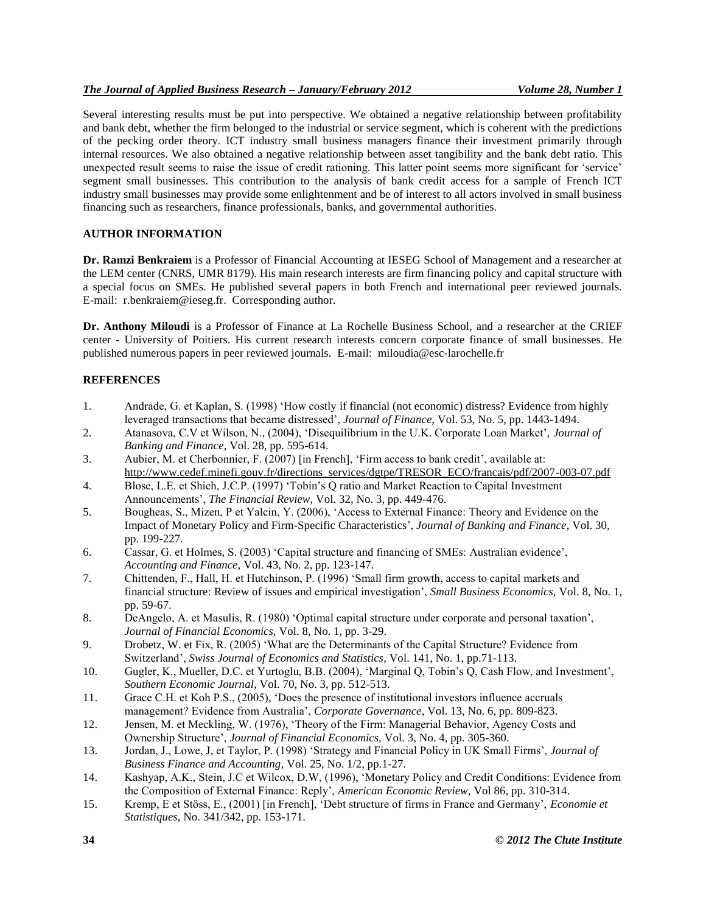# *The Journal of Applied Business Research – January/February 2012 Volume 28, Number 1*

Several interesting results must be put into perspective. We obtained a negative relationship between profitability and bank debt, whether the firm belonged to the industrial or service segment, which is coherent with the predictions of the pecking order theory. ICT industry small business managers finance their investment primarily through internal resources. We also obtained a negative relationship between asset tangibility and the bank debt ratio. This unexpected result seems to raise the issue of credit rationing. This latter point seems more significant for "service" segment small businesses. This contribution to the analysis of bank credit access for a sample of French ICT industry small businesses may provide some enlightenment and be of interest to all actors involved in small business financing such as researchers, finance professionals, banks, and governmental authorities.

# **AUTHOR INFORMATION**

**Dr. Ramzi Benkraiem** is a Professor of Financial Accounting at IESEG School of Management and a researcher at the LEM center (CNRS, UMR 8179). His main research interests are firm financing policy and capital structure with a special focus on SMEs. He published several papers in both French and international peer reviewed journals. E-mail: r.benkraiem@ieseg.fr. Corresponding author.

**Dr. Anthony Miloudi** is a Professor of Finance at La Rochelle Business School, and a researcher at the CRIEF center - University of Poitiers. His current research interests concern corporate finance of small businesses. He published numerous papers in peer reviewed journals. E-mail: miloudia@esc-larochelle.fr

# **REFERENCES**

- 1. Andrade, G. et Kaplan, S. (1998) "How costly if financial (not economic) distress? Evidence from highly leveraged transactions that became distressed", *Journal of Finance,* Vol. 53, No. 5, pp. 1443-1494.
- 2. Atanasova, C.V et Wilson, N., (2004), "Disequilibrium in the U.K. Corporate Loan Market", *Journal of Banking and Finance*, Vol. 28, pp. 595-614.
- 3. Aubier, M. et Cherbonnier, F. (2007) [in French], "Firm access to bank credit", available at: [http://www.cedef.minefi.gouv.fr/directions\\_services/dgtpe/TRESOR\\_ECO/francais/pdf/2007-003-07.pdf](http://www.cedef.minefi.gouv.fr/directions_services/dgtpe/TRESOR_ECO/francais/pdf/2007-003-07.pdf)
- 4. Blose, L.E. et Shieh, J.C.P. (1997) "Tobin"s Q ratio and Market Reaction to Capital Investment Announcements", *The Financial Review*, Vol. 32, No. 3, pp. 449-476.
- 5. Bougheas, S., Mizen, P et Yalcin, Y. (2006), "Access to External Finance: Theory and Evidence on the Impact of Monetary Policy and Firm-Specific Characteristics", *Journal of Banking and Finance*, Vol. 30, pp. 199-227.
- 6. Cassar, G. et Holmes, S. (2003) "Capital structure and financing of SMEs: Australian evidence", *Accounting and Finance,* Vol. 43, No. 2, pp. 123-147.
- 7. Chittenden, F., Hall, H. et Hutchinson, P. (1996) "Small firm growth, access to capital markets and financial structure: Review of issues and empirical investigation", *Small Business Economics,* Vol. 8, No. 1, pp. 59-67.
- 8. DeAngelo, A. et Masulis, R. (1980) "Optimal capital structure under corporate and personal taxation", *Journal of Financial Economics,* Vol. 8, No. 1, pp. 3-29.
- 9. Drobetz, W. et Fix, R. (2005) "What are the Determinants of the Capital Structure? Evidence from Switzerland", *Swiss Journal of Economics and Statistics*, Vol. 141, No. 1, pp.71-113.
- 10. Gugler, K., Mueller, D.C. et Yurtoglu, B.B. (2004), "Marginal Q, Tobin"s Q, Cash Flow, and Investment", *Southern Economic Journal*, Vol. 70, No. 3, pp. 512-513.
- 11. Grace C.H. et Koh P.S., (2005), "Does the presence of institutional investors influence accruals management? Evidence from Australia", *Corporate Governance*, Vol. 13, No. 6, pp. 809-823.
- 12. Jensen, M. et Meckling, W. (1976), "Theory of the Firm: Managerial Behavior, Agency Costs and Ownership Structure", *Journal of Financial Economics,* Vol. 3, No. 4, pp. 305-360.
- 13. Jordan, J., Lowe, J, et Taylor, P. (1998) "Strategy and Financial Policy in UK Small Firms", *Journal of Business Finance and Accounting*, Vol. 25, No. 1/2, pp.1-27.
- 14. Kashyap, A.K., Stein, J.C et Wilcox, D.W, (1996), "Monetary Policy and Credit Conditions: Evidence from the Composition of External Finance: Reply", *American Economic Review*, Vol 86, pp. 310-314.
- 15. Kremp, E et Stöss, E., (2001) [in French], "Debt structure of firms in France and Germany", *Economie et Statistiques*, No. 341/342, pp. 153-171.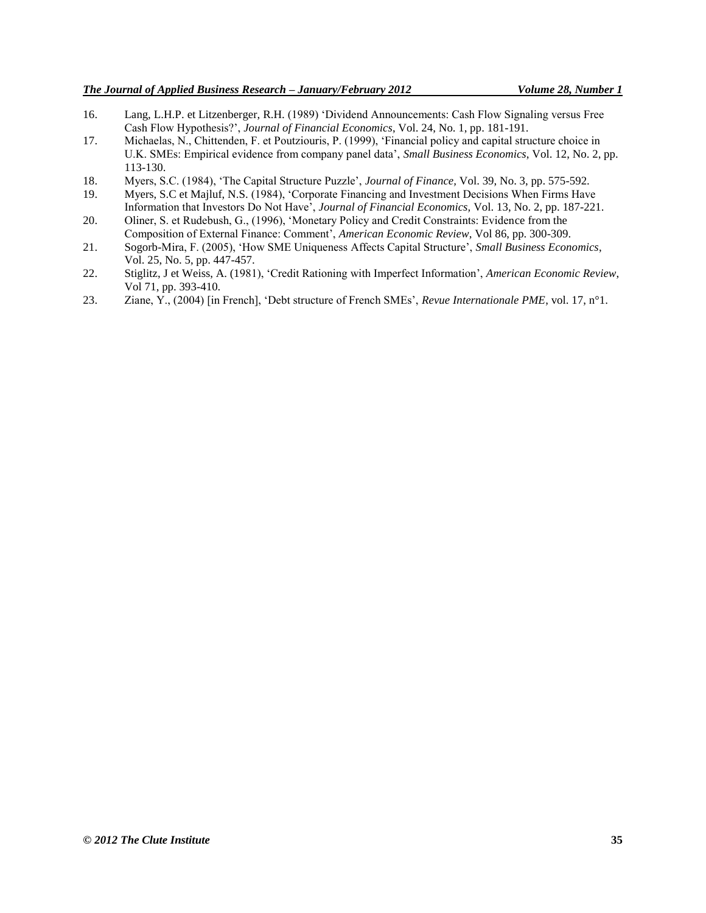- 16. Lang, L.H.P. et Litzenberger, R.H. (1989) "Dividend Announcements: Cash Flow Signaling versus Free Cash Flow Hypothesis?", *Journal of Financial Economics*, Vol. 24, No. 1, pp. 181-191.
- 17. Michaelas, N., Chittenden, F. et Poutziouris, P. (1999), "Financial policy and capital structure choice in U.K. SMEs: Empirical evidence from company panel data", *Small Business Economics*, Vol. 12, No. 2, pp. 113-130.
- 18. Myers, S.C. (1984), "The Capital Structure Puzzle", *Journal of Finance,* Vol. 39, No. 3, pp. 575-592.
- 19. Myers, S.C et Majluf, N.S. (1984), "Corporate Financing and Investment Decisions When Firms Have Information that Investors Do Not Have", *Journal of Financial Economics,* Vol. 13, No. 2, pp. 187-221.
- 20. Oliner, S. et Rudebush, G., (1996), "Monetary Policy and Credit Constraints: Evidence from the Composition of External Finance: Comment", *American Economic Review*, Vol 86, pp. 300-309.
- 21. Sogorb-Mira, F. (2005), "How SME Uniqueness Affects Capital Structure", *Small Business Economics*, Vol. 25, No. 5, pp. 447-457.
- 22. Stiglitz, J et Weiss, A. (1981), "Credit Rationing with Imperfect Information", *American Economic Review*, Vol 71, pp. 393-410.
- 23. Ziane, Y., (2004) [in French], "Debt structure of French SMEs", *Revue Internationale PME*, vol. 17, n°1.